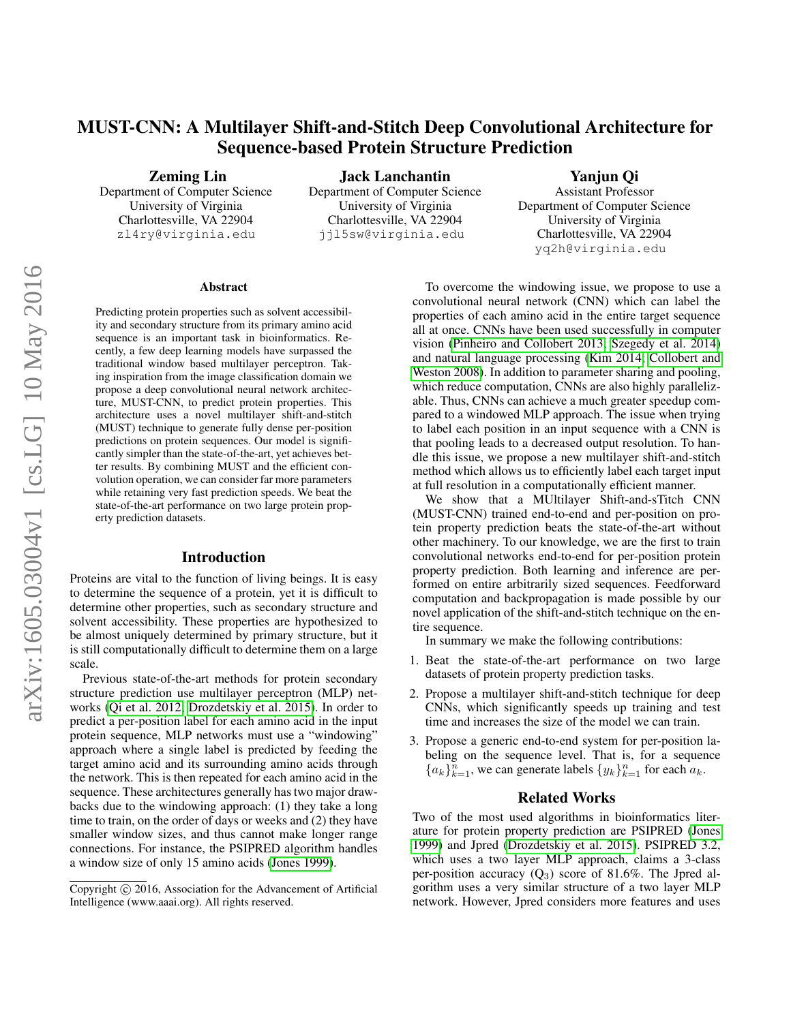# MUST-CNN: A Multilayer Shift-and-Stitch Deep Convolutional Architecture for Sequence-based Protein Structure Prediction

Zeming Lin

Department of Computer Science University of Virginia Charlottesville, VA 22904 zl4ry@virginia.edu

Jack Lanchantin Department of Computer Science University of Virginia Charlottesville, VA 22904 jjl5sw@virginia.edu

Yanjun Qi

Assistant Professor Department of Computer Science University of Virginia Charlottesville, VA 22904 yq2h@virginia.edu

#### Abstract

Predicting protein properties such as solvent accessibility and secondary structure from its primary amino acid sequence is an important task in bioinformatics. Recently, a few deep learning models have surpassed the traditional window based multilayer perceptron. Taking inspiration from the image classification domain we propose a deep convolutional neural network architecture, MUST-CNN, to predict protein properties. This architecture uses a novel multilayer shift-and-stitch (MUST) technique to generate fully dense per-position predictions on protein sequences. Our model is significantly simpler than the state-of-the-art, yet achieves better results. By combining MUST and the efficient convolution operation, we can consider far more parameters while retaining very fast prediction speeds. We beat the state-of-the-art performance on two large protein property prediction datasets.

# Introduction

Proteins are vital to the function of living beings. It is easy to determine the sequence of a protein, yet it is difficult to determine other properties, such as secondary structure and solvent accessibility. These properties are hypothesized to be almost uniquely determined by primary structure, but it is still computationally difficult to determine them on a large scale.

Previous state-of-the-art methods for protein secondary structure prediction use multilayer perceptron (MLP) networks [\(Qi et al. 2012;](#page-6-0) [Drozdetskiy et al. 2015\)](#page-6-1). In order to predict a per-position label for each amino acid in the input protein sequence, MLP networks must use a "windowing" approach where a single label is predicted by feeding the target amino acid and its surrounding amino acids through the network. This is then repeated for each amino acid in the sequence. These architectures generally has two major drawbacks due to the windowing approach: (1) they take a long time to train, on the order of days or weeks and (2) they have smaller window sizes, and thus cannot make longer range connections. For instance, the PSIPRED algorithm handles a window size of only 15 amino acids [\(Jones 1999\)](#page-6-2).

To overcome the windowing issue, we propose to use a convolutional neural network (CNN) which can label the properties of each amino acid in the entire target sequence all at once. CNNs have been used successfully in computer vision [\(Pinheiro and Collobert 2013;](#page-6-3) [Szegedy et al. 2014\)](#page-7-0) and natural language processing [\(Kim 2014;](#page-6-4) [Collobert and](#page-6-5) [Weston 2008\)](#page-6-5). In addition to parameter sharing and pooling, which reduce computation, CNNs are also highly parallelizable. Thus, CNNs can achieve a much greater speedup compared to a windowed MLP approach. The issue when trying to label each position in an input sequence with a CNN is that pooling leads to a decreased output resolution. To handle this issue, we propose a new multilayer shift-and-stitch method which allows us to efficiently label each target input at full resolution in a computationally efficient manner.

We show that a MUltilayer Shift-and-sTitch CNN (MUST-CNN) trained end-to-end and per-position on protein property prediction beats the state-of-the-art without other machinery. To our knowledge, we are the first to train convolutional networks end-to-end for per-position protein property prediction. Both learning and inference are performed on entire arbitrarily sized sequences. Feedforward computation and backpropagation is made possible by our novel application of the shift-and-stitch technique on the entire sequence.

In summary we make the following contributions:

- 1. Beat the state-of-the-art performance on two large datasets of protein property prediction tasks.
- 2. Propose a multilayer shift-and-stitch technique for deep CNNs, which significantly speeds up training and test time and increases the size of the model we can train.
- 3. Propose a generic end-to-end system for per-position labeling on the sequence level. That is, for a sequence  ${a_k}_{k=1}^n$ , we can generate labels  ${y_k}_{k=1}^n$  for each  $a_k$ .

# Related Works

Two of the most used algorithms in bioinformatics literature for protein property prediction are PSIPRED [\(Jones](#page-6-2) [1999\)](#page-6-2) and Jpred [\(Drozdetskiy et al. 2015\)](#page-6-1). PSIPRED 3.2, which uses a two layer MLP approach, claims a 3-class per-position accuracy  $(Q_3)$  score of 81.6%. The Jpred algorithm uses a very similar structure of a two layer MLP network. However, Jpred considers more features and uses

Copyright © 2016, Association for the Advancement of Artificial Intelligence (www.aaai.org). All rights reserved.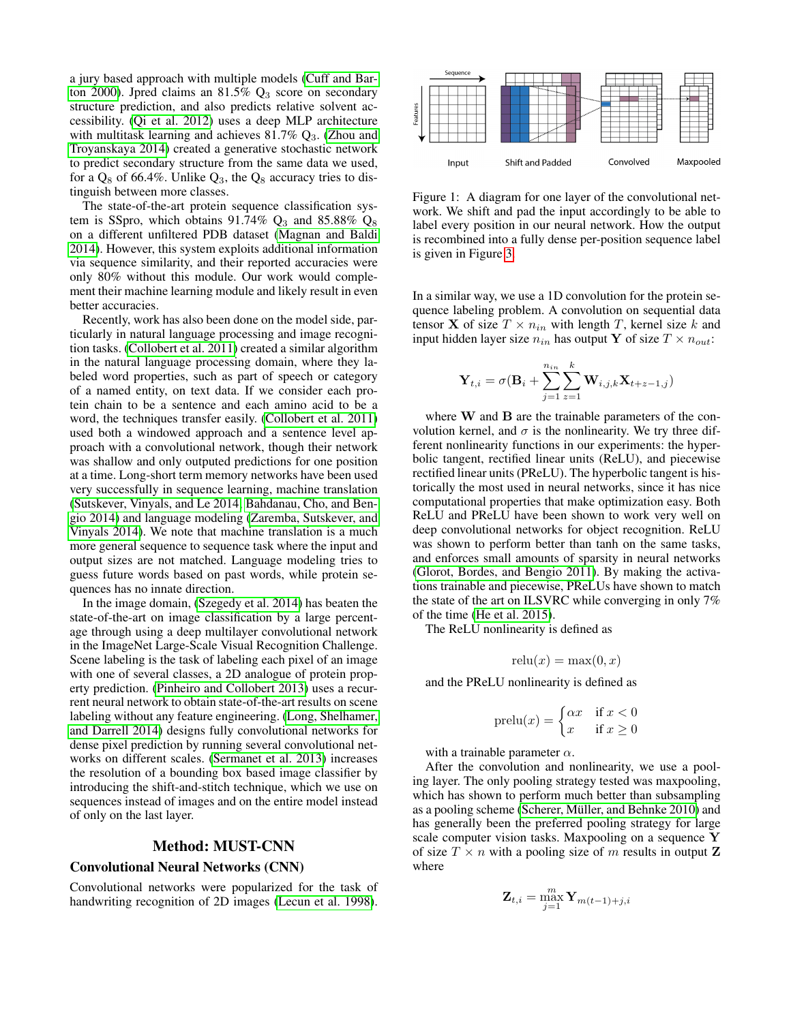a jury based approach with multiple models [\(Cuff and Bar](#page-6-6)[ton 2000\)](#page-6-6). Jpred claims an 81.5%  $Q_3$  score on secondary structure prediction, and also predicts relative solvent accessibility. [\(Qi et al. 2012\)](#page-6-0) uses a deep MLP architecture with multitask learning and achieves  $81.7\%$   $Q_3$ . [\(Zhou and](#page-7-1) [Troyanskaya 2014\)](#page-7-1) created a generative stochastic network to predict secondary structure from the same data we used, for a  $Q_8$  of 66.4%. Unlike  $Q_3$ , the  $Q_8$  accuracy tries to distinguish between more classes.

The state-of-the-art protein sequence classification system is SSpro, which obtains 91.74%  $Q_3$  and 85.88%  $Q_8$ on a different unfiltered PDB dataset [\(Magnan and Baldi](#page-6-7) [2014\)](#page-6-7). However, this system exploits additional information via sequence similarity, and their reported accuracies were only 80% without this module. Our work would complement their machine learning module and likely result in even better accuracies.

Recently, work has also been done on the model side, particularly in natural language processing and image recognition tasks. [\(Collobert et al. 2011\)](#page-6-8) created a similar algorithm in the natural language processing domain, where they labeled word properties, such as part of speech or category of a named entity, on text data. If we consider each protein chain to be a sentence and each amino acid to be a word, the techniques transfer easily. [\(Collobert et al. 2011\)](#page-6-8) used both a windowed approach and a sentence level approach with a convolutional network, though their network was shallow and only outputed predictions for one position at a time. Long-short term memory networks have been used very successfully in sequence learning, machine translation [\(Sutskever, Vinyals, and Le 2014;](#page-7-2) [Bahdanau, Cho, and Ben](#page-6-9)[gio 2014\)](#page-6-9) and language modeling [\(Zaremba, Sutskever, and](#page-7-3) [Vinyals 2014\)](#page-7-3). We note that machine translation is a much more general sequence to sequence task where the input and output sizes are not matched. Language modeling tries to guess future words based on past words, while protein sequences has no innate direction.

In the image domain, [\(Szegedy et al. 2014\)](#page-7-0) has beaten the state-of-the-art on image classification by a large percentage through using a deep multilayer convolutional network in the ImageNet Large-Scale Visual Recognition Challenge. Scene labeling is the task of labeling each pixel of an image with one of several classes, a 2D analogue of protein property prediction. [\(Pinheiro and Collobert 2013\)](#page-6-3) uses a recurrent neural network to obtain state-of-the-art results on scene labeling without any feature engineering. [\(Long, Shelhamer,](#page-6-10) [and Darrell 2014\)](#page-6-10) designs fully convolutional networks for dense pixel prediction by running several convolutional networks on different scales. [\(Sermanet et al. 2013\)](#page-7-4) increases the resolution of a bounding box based image classifier by introducing the shift-and-stitch technique, which we use on sequences instead of images and on the entire model instead of only on the last layer.

# Method: MUST-CNN

## Convolutional Neural Networks (CNN)

Convolutional networks were popularized for the task of handwriting recognition of 2D images [\(Lecun et al. 1998\)](#page-6-11).



<span id="page-1-0"></span>Figure 1: A diagram for one layer of the convolutional network. We shift and pad the input accordingly to be able to label every position in our neural network. How the output is recombined into a fully dense per-position sequence label is given in Figure [3.](#page-3-0)

In a similar way, we use a 1D convolution for the protein sequence labeling problem. A convolution on sequential data tensor **X** of size  $T \times n_{in}$  with length T, kernel size k and input hidden layer size  $n_{in}$  has output Y of size  $T \times n_{out}$ :

$$
\mathbf{Y}_{t,i} = \sigma(\mathbf{B}_i + \sum_{j=1}^{n_{in}} \sum_{z=1}^{k} \mathbf{W}_{i,j,k} \mathbf{X}_{t+z-1,j})
$$

where W and B are the trainable parameters of the convolution kernel, and  $\sigma$  is the nonlinearity. We try three different nonlinearity functions in our experiments: the hyperbolic tangent, rectified linear units (ReLU), and piecewise rectified linear units (PReLU). The hyperbolic tangent is historically the most used in neural networks, since it has nice computational properties that make optimization easy. Both ReLU and PReLU have been shown to work very well on deep convolutional networks for object recognition. ReLU was shown to perform better than tanh on the same tasks, and enforces small amounts of sparsity in neural networks [\(Glorot, Bordes, and Bengio 2011\)](#page-6-12). By making the activations trainable and piecewise, PReLUs have shown to match the state of the art on ILSVRC while converging in only 7% of the time [\(He et al. 2015\)](#page-6-13).

The ReLU nonlinearity is defined as

$$
relu(x) = \max(0, x)
$$

and the PReLU nonlinearity is defined as

$$
\text{prelu}(x) = \begin{cases} \alpha x & \text{if } x < 0 \\ x & \text{if } x \ge 0 \end{cases}
$$

with a trainable parameter  $\alpha$ .

After the convolution and nonlinearity, we use a pooling layer. The only pooling strategy tested was maxpooling, which has shown to perform much better than subsampling as a pooling scheme (Scherer, Müller, and Behnke 2010) and has generally been the preferred pooling strategy for large scale computer vision tasks. Maxpooling on a sequence Y of size  $T \times n$  with a pooling size of m results in output Z where

$$
\mathbf{Z}_{t,i} = \max_{j=1}^{m} \mathbf{Y}_{m(t-1)+j,i}
$$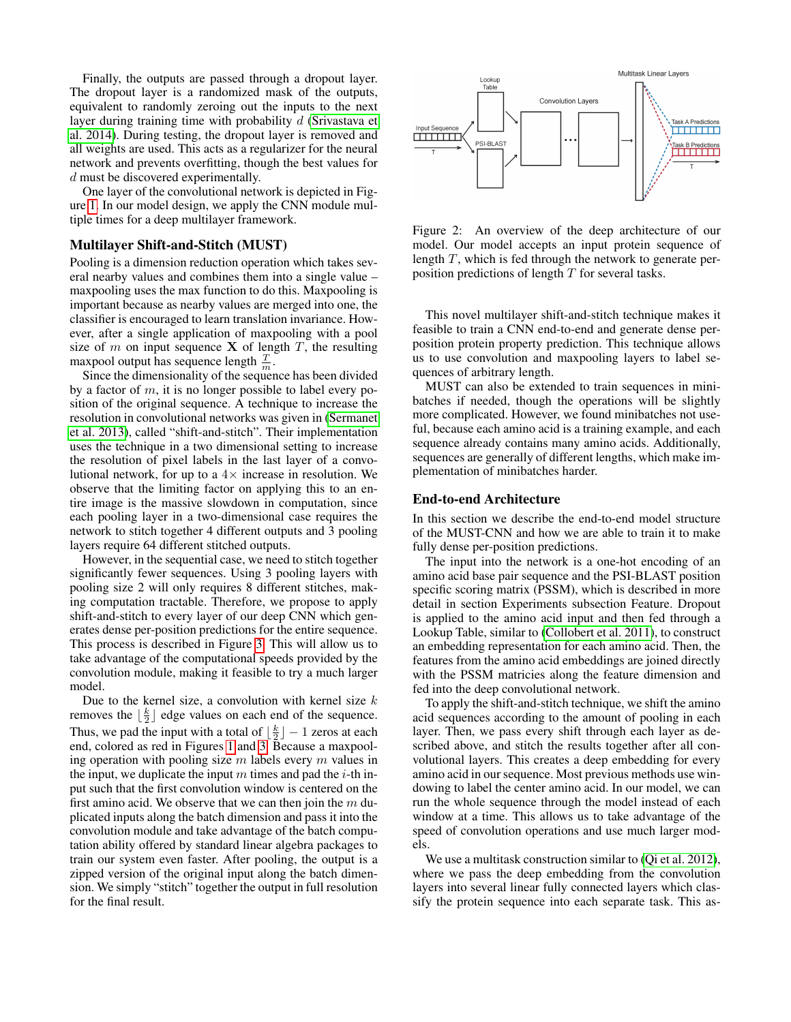Finally, the outputs are passed through a dropout layer. The dropout layer is a randomized mask of the outputs, equivalent to randomly zeroing out the inputs to the next layer during training time with probability  $d$  [\(Srivastava et](#page-7-5) [al. 2014\)](#page-7-5). During testing, the dropout layer is removed and all weights are used. This acts as a regularizer for the neural network and prevents overfitting, though the best values for d must be discovered experimentally.

One layer of the convolutional network is depicted in Figure [1.](#page-1-0) In our model design, we apply the CNN module multiple times for a deep multilayer framework.

# Multilayer Shift-and-Stitch (MUST)

Pooling is a dimension reduction operation which takes several nearby values and combines them into a single value – maxpooling uses the max function to do this. Maxpooling is important because as nearby values are merged into one, the classifier is encouraged to learn translation invariance. However, after a single application of maxpooling with a pool size of  $m$  on input sequence  $X$  of length  $T$ , the resulting maxpool output has sequence length  $\frac{T}{m}$ .

Since the dimensionality of the sequence has been divided by a factor of  $m$ , it is no longer possible to label every position of the original sequence. A technique to increase the resolution in convolutional networks was given in [\(Sermanet](#page-7-4) [et al. 2013\)](#page-7-4), called "shift-and-stitch". Their implementation uses the technique in a two dimensional setting to increase the resolution of pixel labels in the last layer of a convolutional network, for up to a  $4 \times$  increase in resolution. We observe that the limiting factor on applying this to an entire image is the massive slowdown in computation, since each pooling layer in a two-dimensional case requires the network to stitch together 4 different outputs and 3 pooling layers require 64 different stitched outputs.

However, in the sequential case, we need to stitch together significantly fewer sequences. Using 3 pooling layers with pooling size 2 will only requires 8 different stitches, making computation tractable. Therefore, we propose to apply shift-and-stitch to every layer of our deep CNN which generates dense per-position predictions for the entire sequence. This process is described in Figure [3.](#page-3-0) This will allow us to take advantage of the computational speeds provided by the convolution module, making it feasible to try a much larger model.

Due to the kernel size, a convolution with kernel size  $k$ removes the  $\lfloor \frac{k}{2} \rfloor$  edge values on each end of the sequence. Thus, we pad the input with a total of  $\lfloor \frac{k}{2} \rfloor - 1$  zeros at each end, colored as red in Figures [1](#page-1-0) and [3.](#page-3-0) Because a maxpooling operation with pooling size  $m$  labels every  $m$  values in the input, we duplicate the input  $m$  times and pad the *i*-th input such that the first convolution window is centered on the first amino acid. We observe that we can then join the  $m$  duplicated inputs along the batch dimension and pass it into the convolution module and take advantage of the batch computation ability offered by standard linear algebra packages to train our system even faster. After pooling, the output is a zipped version of the original input along the batch dimension. We simply "stitch" together the output in full resolution for the final result.



Figure 2: An overview of the deep architecture of our model. Our model accepts an input protein sequence of length T, which is fed through the network to generate perposition predictions of length  $T$  for several tasks.

This novel multilayer shift-and-stitch technique makes it feasible to train a CNN end-to-end and generate dense perposition protein property prediction. This technique allows us to use convolution and maxpooling layers to label sequences of arbitrary length.

MUST can also be extended to train sequences in minibatches if needed, though the operations will be slightly more complicated. However, we found minibatches not useful, because each amino acid is a training example, and each sequence already contains many amino acids. Additionally, sequences are generally of different lengths, which make implementation of minibatches harder.

### End-to-end Architecture

In this section we describe the end-to-end model structure of the MUST-CNN and how we are able to train it to make fully dense per-position predictions.

The input into the network is a one-hot encoding of an amino acid base pair sequence and the PSI-BLAST position specific scoring matrix (PSSM), which is described in more detail in section Experiments subsection Feature. Dropout is applied to the amino acid input and then fed through a Lookup Table, similar to [\(Collobert et al. 2011\)](#page-6-8), to construct an embedding representation for each amino acid. Then, the features from the amino acid embeddings are joined directly with the PSSM matricies along the feature dimension and fed into the deep convolutional network.

To apply the shift-and-stitch technique, we shift the amino acid sequences according to the amount of pooling in each layer. Then, we pass every shift through each layer as described above, and stitch the results together after all convolutional layers. This creates a deep embedding for every amino acid in our sequence. Most previous methods use windowing to label the center amino acid. In our model, we can run the whole sequence through the model instead of each window at a time. This allows us to take advantage of the speed of convolution operations and use much larger models.

We use a multitask construction similar to [\(Qi et al. 2012\)](#page-6-0), where we pass the deep embedding from the convolution layers into several linear fully connected layers which classify the protein sequence into each separate task. This as-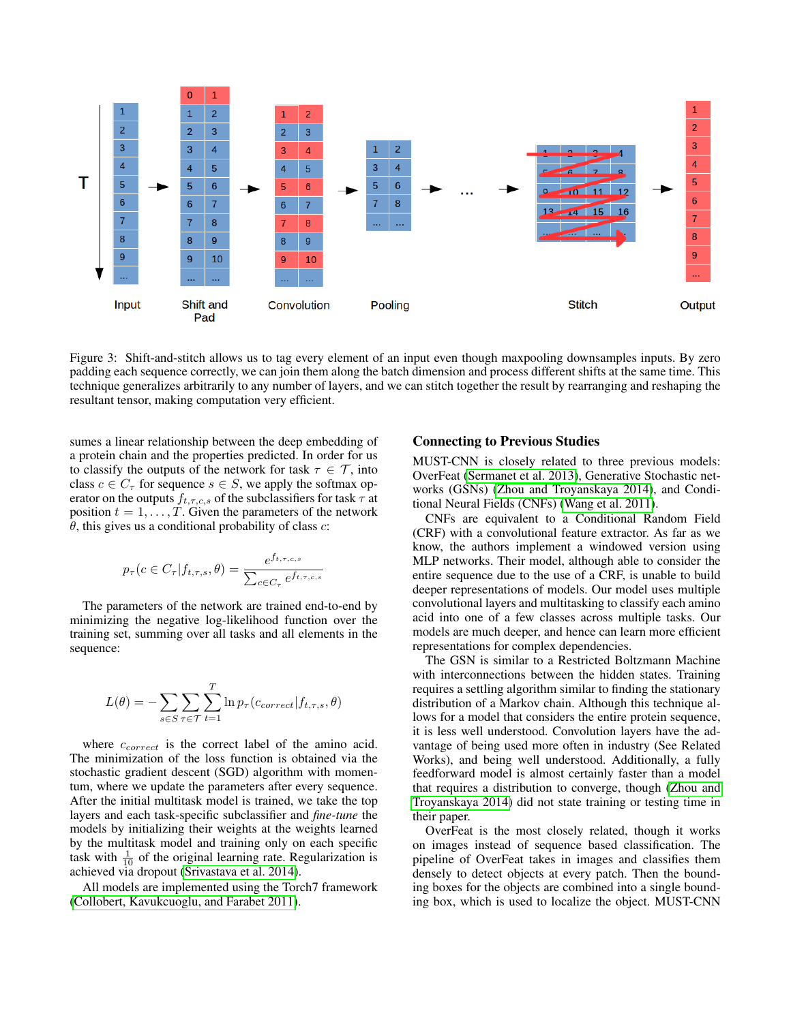

<span id="page-3-0"></span>Figure 3: Shift-and-stitch allows us to tag every element of an input even though maxpooling downsamples inputs. By zero padding each sequence correctly, we can join them along the batch dimension and process different shifts at the same time. This technique generalizes arbitrarily to any number of layers, and we can stitch together the result by rearranging and reshaping the resultant tensor, making computation very efficient.

sumes a linear relationship between the deep embedding of a protein chain and the properties predicted. In order for us to classify the outputs of the network for task  $\tau \in \mathcal{T}$ , into class  $c \in C_{\tau}$  for sequence  $s \in S$ , we apply the softmax operator on the outputs  $f_{t,\tau,c,s}$  of the subclassifiers for task  $\tau$  at position  $t = 1, \ldots, T$ . Given the parameters of the network  $\theta$ , this gives us a conditional probability of class  $c$ :

$$
p_{\tau}(c \in C_{\tau} | f_{t,\tau,s}, \theta) = \frac{e^{f_{t,\tau,c,s}}}{\sum_{c \in C_{\tau}} e^{f_{t,\tau,c,s}}}
$$

The parameters of the network are trained end-to-end by minimizing the negative log-likelihood function over the training set, summing over all tasks and all elements in the sequence:

$$
L(\theta) = -\sum_{s \in S} \sum_{\tau \in \mathcal{T}} \sum_{t=1}^{T} \ln p_{\tau}(c_{correct}|f_{t,\tau,s}, \theta)
$$

where  $c_{correct}$  is the correct label of the amino acid. The minimization of the loss function is obtained via the stochastic gradient descent (SGD) algorithm with momentum, where we update the parameters after every sequence. After the initial multitask model is trained, we take the top layers and each task-specific subclassifier and *fine-tune* the models by initializing their weights at the weights learned by the multitask model and training only on each specific task with  $\frac{1}{10}$  of the original learning rate. Regularization is achieved via dropout [\(Srivastava et al. 2014\)](#page-7-5).

All models are implemented using the Torch7 framework [\(Collobert, Kavukcuoglu, and Farabet 2011\)](#page-6-15).

#### Connecting to Previous Studies

MUST-CNN is closely related to three previous models: OverFeat [\(Sermanet et al. 2013\)](#page-7-4), Generative Stochastic networks (GSNs) [\(Zhou and Troyanskaya 2014\)](#page-7-1), and Conditional Neural Fields (CNFs) [\(Wang et al. 2011\)](#page-7-6).

CNFs are equivalent to a Conditional Random Field (CRF) with a convolutional feature extractor. As far as we know, the authors implement a windowed version using MLP networks. Their model, although able to consider the entire sequence due to the use of a CRF, is unable to build deeper representations of models. Our model uses multiple convolutional layers and multitasking to classify each amino acid into one of a few classes across multiple tasks. Our models are much deeper, and hence can learn more efficient representations for complex dependencies.

The GSN is similar to a Restricted Boltzmann Machine with interconnections between the hidden states. Training requires a settling algorithm similar to finding the stationary distribution of a Markov chain. Although this technique allows for a model that considers the entire protein sequence, it is less well understood. Convolution layers have the advantage of being used more often in industry (See Related Works), and being well understood. Additionally, a fully feedforward model is almost certainly faster than a model that requires a distribution to converge, though [\(Zhou and](#page-7-1) [Troyanskaya 2014\)](#page-7-1) did not state training or testing time in their paper.

OverFeat is the most closely related, though it works on images instead of sequence based classification. The pipeline of OverFeat takes in images and classifies them densely to detect objects at every patch. Then the bounding boxes for the objects are combined into a single bounding box, which is used to localize the object. MUST-CNN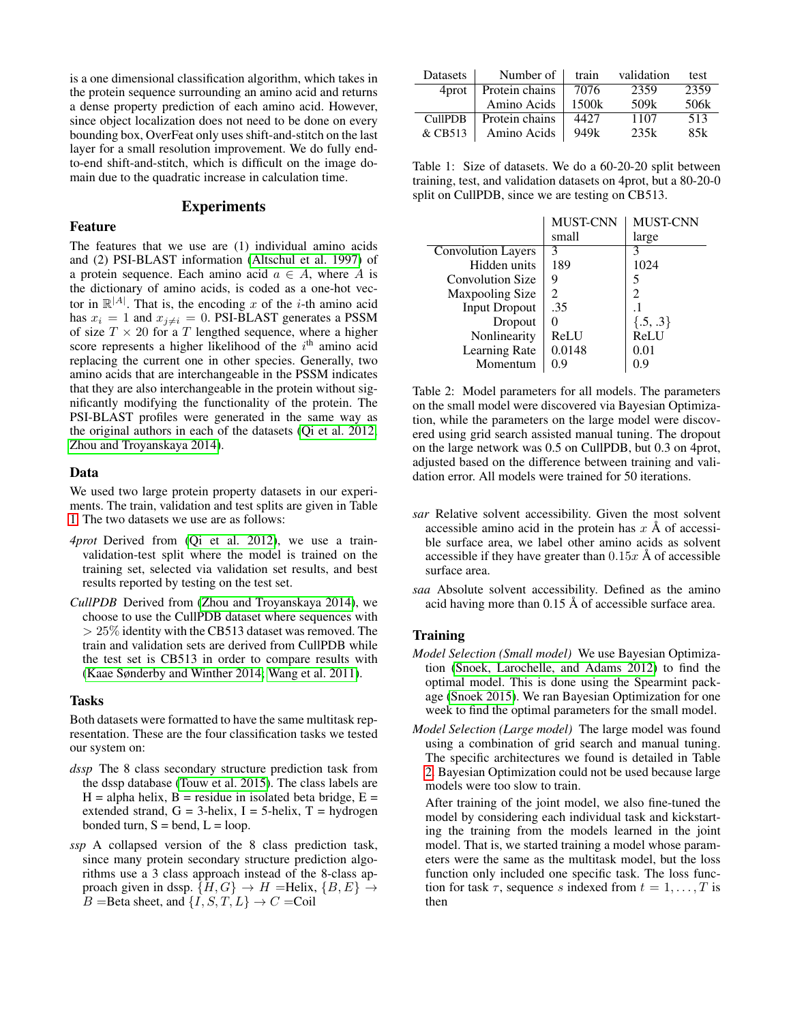is a one dimensional classification algorithm, which takes in the protein sequence surrounding an amino acid and returns a dense property prediction of each amino acid. However, since object localization does not need to be done on every bounding box, OverFeat only uses shift-and-stitch on the last layer for a small resolution improvement. We do fully endto-end shift-and-stitch, which is difficult on the image domain due to the quadratic increase in calculation time.

### Experiments

#### Feature

The features that we use are (1) individual amino acids and (2) PSI-BLAST information [\(Altschul et al. 1997\)](#page-6-16) of a protein sequence. Each amino acid  $a \in A$ , where A is the dictionary of amino acids, is coded as a one-hot vector in  $\mathbb{R}^{|A|}$ . That is, the encoding x of the *i*-th amino acid has  $x_i = 1$  and  $x_{j\neq i} = 0$ . PSI-BLAST generates a PSSM of size  $T \times 20$  for a T lengthed sequence, where a higher score represents a higher likelihood of the  $i<sup>th</sup>$  amino acid replacing the current one in other species. Generally, two amino acids that are interchangeable in the PSSM indicates that they are also interchangeable in the protein without significantly modifying the functionality of the protein. The PSI-BLAST profiles were generated in the same way as the original authors in each of the datasets [\(Qi et al. 2012;](#page-6-0) [Zhou and Troyanskaya 2014\)](#page-7-1).

#### Data

We used two large protein property datasets in our experiments. The train, validation and test splits are given in Table [1.](#page-4-0) The two datasets we use are as follows:

- *4prot* Derived from [\(Qi et al. 2012\)](#page-6-0), we use a trainvalidation-test split where the model is trained on the training set, selected via validation set results, and best results reported by testing on the test set.
- *CullPDB* Derived from [\(Zhou and Troyanskaya 2014\)](#page-7-1), we choose to use the CullPDB dataset where sequences with  $> 25\%$  identity with the CB513 dataset was removed. The train and validation sets are derived from CullPDB while the test set is CB513 in order to compare results with [\(Kaae Sønderby and Winther 2014;](#page-6-17) [Wang et al. 2011\)](#page-7-6).

### Tasks

Both datasets were formatted to have the same multitask representation. These are the four classification tasks we tested our system on:

- *dssp* The 8 class secondary structure prediction task from the dssp database [\(Touw et al. 2015\)](#page-7-7). The class labels are  $H = alpha helix$ ,  $B = residue in isolated beta bridge$ ,  $E =$ extended strand,  $G = 3$ -helix,  $I = 5$ -helix,  $T = hydrogen$ bonded turn,  $S = \text{bend}$ ,  $L = \text{loop}$ .
- *ssp* A collapsed version of the 8 class prediction task, since many protein secondary structure prediction algorithms use a 3 class approach instead of the 8-class approach given in dssp.  $\{H, G\} \rightarrow H$  =Helix,  $\{B, E\} \rightarrow$  $B =$ Beta sheet, and  $\{\overrightarrow{I}, S, T, L\} \rightarrow C =$ Coil

| Datasets       | Number of      | train | validation | test |
|----------------|----------------|-------|------------|------|
| 4prot          | Protein chains | 7076  | 2359       | 2359 |
|                | Amino Acids    | 1500k | 509k       | 506k |
| <b>CullPDB</b> | Protein chains | 4427  | 1107       | 513  |
| & CB513        | Amino Acids    | 949k  | 235k       | 85k  |

<span id="page-4-0"></span>Table 1: Size of datasets. We do a 60-20-20 split between training, test, and validation datasets on 4prot, but a 80-20-0 split on CullPDB, since we are testing on CB513.

|                           | <b>MUST-CNN</b>             | MUST-CNN     |
|---------------------------|-----------------------------|--------------|
|                           | small                       | large        |
| <b>Convolution Layers</b> | 3                           | 3            |
| Hidden units              | 189                         | 1024         |
| <b>Convolution Size</b>   | q                           | 5            |
| Maxpooling Size           | $\mathcal{D}_{\mathcal{L}}$ | 2            |
| <b>Input Dropout</b>      | .35                         |              |
| Dropout                   |                             | $\{.5, .3\}$ |
| Nonlinearity              | ReLU                        | ReLU         |
| Learning Rate             | 0.0148                      | 0.01         |
| Momentum                  | 0.9                         | 0.9          |

<span id="page-4-1"></span>Table 2: Model parameters for all models. The parameters on the small model were discovered via Bayesian Optimization, while the parameters on the large model were discovered using grid search assisted manual tuning. The dropout on the large network was 0.5 on CullPDB, but 0.3 on 4prot, adjusted based on the difference between training and validation error. All models were trained for 50 iterations.

- *sar* Relative solvent accessibility. Given the most solvent accessible amino acid in the protein has  $x \land x$  of accessible surface area, we label other amino acids as solvent accessible if they have greater than  $0.15x \text{ Å}$  of accessible surface area.
- *saa* Absolute solvent accessibility. Defined as the amino acid having more than  $0.15 \text{ Å}$  of accessible surface area.

# Training

- *Model Selection (Small model)* We use Bayesian Optimization [\(Snoek, Larochelle, and Adams 2012\)](#page-7-8) to find the optimal model. This is done using the Spearmint package [\(Snoek 2015\)](#page-7-9). We ran Bayesian Optimization for one week to find the optimal parameters for the small model.
- *Model Selection (Large model)* The large model was found using a combination of grid search and manual tuning. The specific architectures we found is detailed in Table [2.](#page-4-1) Bayesian Optimization could not be used because large models were too slow to train.

After training of the joint model, we also fine-tuned the model by considering each individual task and kickstarting the training from the models learned in the joint model. That is, we started training a model whose parameters were the same as the multitask model, but the loss function only included one specific task. The loss function for task  $\tau$ , sequence s indexed from  $t = 1, \ldots, T$  is then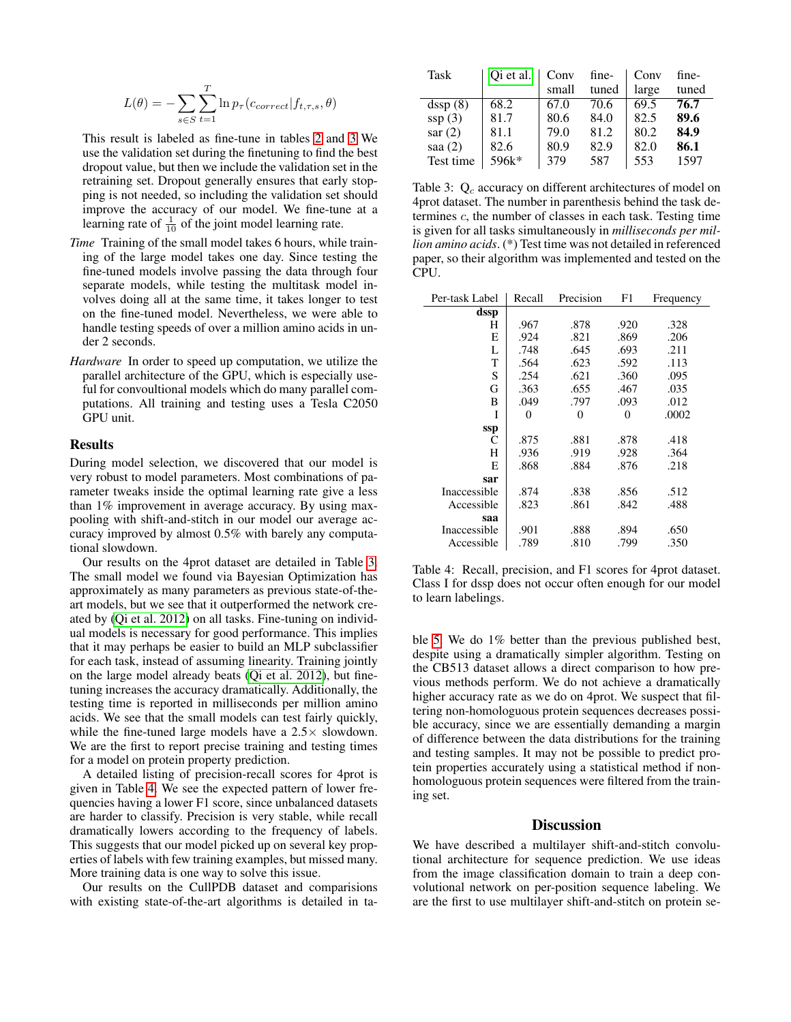$$
L(\theta) = -\sum_{s \in S} \sum_{t=1}^{T} \ln p_{\tau}(c_{correct}|f_{t,\tau,s}, \theta)
$$

This result is labeled as fine-tune in tables [2](#page-4-1) and [3](#page-5-0) We use the validation set during the finetuning to find the best dropout value, but then we include the validation set in the retraining set. Dropout generally ensures that early stopping is not needed, so including the validation set should improve the accuracy of our model. We fine-tune at a learning rate of  $\frac{1}{10}$  of the joint model learning rate.

- *Time* Training of the small model takes 6 hours, while training of the large model takes one day. Since testing the fine-tuned models involve passing the data through four separate models, while testing the multitask model involves doing all at the same time, it takes longer to test on the fine-tuned model. Nevertheless, we were able to handle testing speeds of over a million amino acids in under 2 seconds.
- *Hardware* In order to speed up computation, we utilize the parallel architecture of the GPU, which is especially useful for convoultional models which do many parallel computations. All training and testing uses a Tesla C2050 GPU unit.

#### Results

During model selection, we discovered that our model is very robust to model parameters. Most combinations of parameter tweaks inside the optimal learning rate give a less than 1% improvement in average accuracy. By using maxpooling with shift-and-stitch in our model our average accuracy improved by almost 0.5% with barely any computational slowdown.

Our results on the 4prot dataset are detailed in Table [3.](#page-5-0) The small model we found via Bayesian Optimization has approximately as many parameters as previous state-of-theart models, but we see that it outperformed the network created by [\(Qi et al. 2012\)](#page-6-0) on all tasks. Fine-tuning on individual models is necessary for good performance. This implies that it may perhaps be easier to build an MLP subclassifier for each task, instead of assuming linearity. Training jointly on the large model already beats [\(Qi et al. 2012\)](#page-6-0), but finetuning increases the accuracy dramatically. Additionally, the testing time is reported in milliseconds per million amino acids. We see that the small models can test fairly quickly, while the fine-tuned large models have a  $2.5\times$  slowdown. We are the first to report precise training and testing times for a model on protein property prediction.

A detailed listing of precision-recall scores for 4prot is given in Table [4.](#page-5-1) We see the expected pattern of lower frequencies having a lower F1 score, since unbalanced datasets are harder to classify. Precision is very stable, while recall dramatically lowers according to the frequency of labels. This suggests that our model picked up on several key properties of labels with few training examples, but missed many. More training data is one way to solve this issue.

Our results on the CullPDB dataset and comparisions with existing state-of-the-art algorithms is detailed in ta-

| Task      | Oi et al. | Conv  | fine- | Conv  | fine- |
|-----------|-----------|-------|-------|-------|-------|
|           |           | small | tuned | large | tuned |
| dssp(8)   | 68.2      | 67.0  | 70.6  | 69.5  | 76.7  |
| ssp(3)    | 81.7      | 80.6  | 84.0  | 82.5  | 89.6  |
| sar(2)    | 81.1      | 79.0  | 81.2  | 80.2  | 84.9  |
| saa $(2)$ | 82.6      | 80.9  | 82.9  | 82.0  | 86.1  |
| Test time | 596k*     | 379   | 587   | 553   | 1597  |

<span id="page-5-0"></span>Table 3:  $Q_c$  accuracy on different architectures of model on 4prot dataset. The number in parenthesis behind the task determines c, the number of classes in each task. Testing time is given for all tasks simultaneously in *milliseconds per million amino acids*. (\*) Test time was not detailed in referenced paper, so their algorithm was implemented and tested on the CPU.

| Per-task Label | Recall | Precision | F1   | Frequency |
|----------------|--------|-----------|------|-----------|
| dssp           |        |           |      |           |
| Н              | .967   | .878      | .920 | .328      |
| E              | .924   | .821      | .869 | .206      |
| L              | .748   | .645      | .693 | .211      |
| T              | .564   | .623      | .592 | .113      |
| S              | .254   | .621      | .360 | .095      |
| G              | .363   | .655      | .467 | .035      |
| B              | .049   | .797      | .093 | .012      |
| T              | 0      | 0         | 0    | .0002     |
| ssp            |        |           |      |           |
| C              | .875   | .881      | .878 | .418      |
| H              | .936   | .919      | .928 | .364      |
| E              | .868   | .884      | .876 | .218      |
| sar            |        |           |      |           |
| Inaccessible   | .874   | .838      | .856 | .512      |
| Accessible     | .823   | .861      | .842 | .488      |
| saa            |        |           |      |           |
| Inaccessible   | .901   | .888      | .894 | .650      |
| Accessible     | .789   | .810      | .799 | .350      |

<span id="page-5-1"></span>Table 4: Recall, precision, and F1 scores for 4prot dataset. Class I for dssp does not occur often enough for our model to learn labelings.

ble [5.](#page-6-18) We do 1% better than the previous published best, despite using a dramatically simpler algorithm. Testing on the CB513 dataset allows a direct comparison to how previous methods perform. We do not achieve a dramatically higher accuracy rate as we do on 4prot. We suspect that filtering non-homologuous protein sequences decreases possible accuracy, since we are essentially demanding a margin of difference between the data distributions for the training and testing samples. It may not be possible to predict protein properties accurately using a statistical method if nonhomologuous protein sequences were filtered from the training set.

# **Discussion**

We have described a multilayer shift-and-stitch convolutional architecture for sequence prediction. We use ideas from the image classification domain to train a deep convolutional network on per-position sequence labeling. We are the first to use multilayer shift-and-stitch on protein se-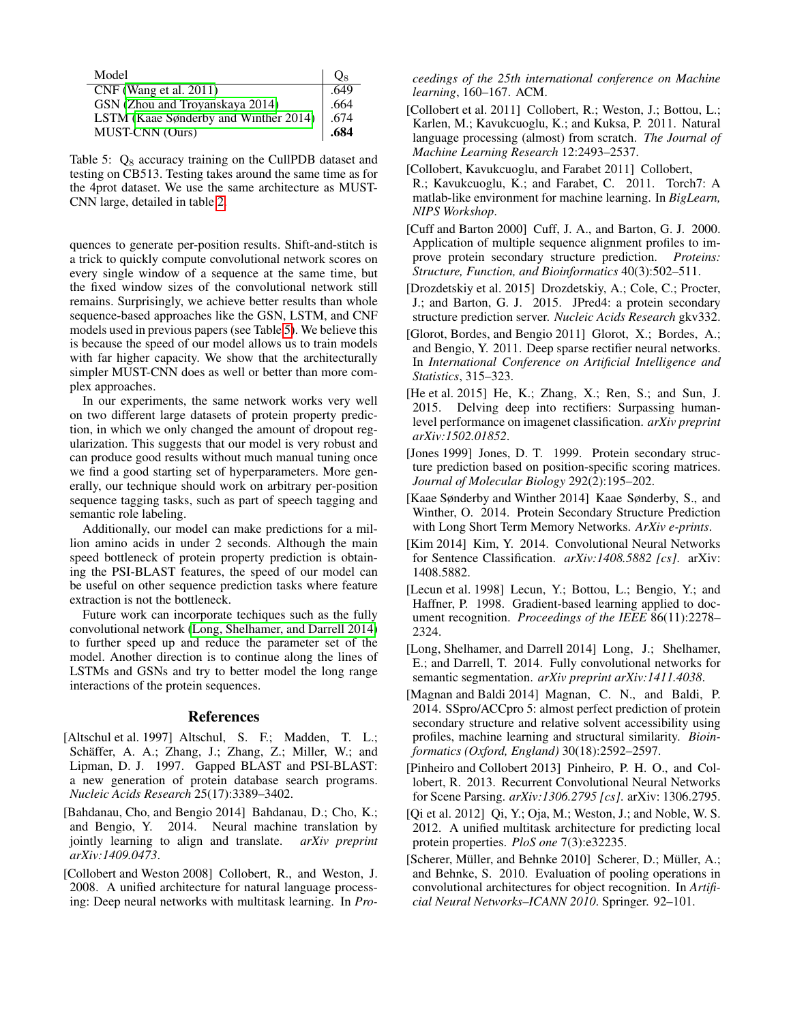| Model                                 | Og   |
|---------------------------------------|------|
| $CNF$ (Wang et al. 2011)              | .649 |
| GSN (Zhou and Troyanskaya 2014)       | .664 |
| LSTM (Kaae Sønderby and Winther 2014) | .674 |
| <b>MUST-CNN</b> (Ours)                | .684 |

<span id="page-6-18"></span>Table 5:  $Q_8$  accuracy training on the CullPDB dataset and testing on CB513. Testing takes around the same time as for the 4prot dataset. We use the same architecture as MUST-CNN large, detailed in table [2.](#page-4-1)

quences to generate per-position results. Shift-and-stitch is a trick to quickly compute convolutional network scores on every single window of a sequence at the same time, but the fixed window sizes of the convolutional network still remains. Surprisingly, we achieve better results than whole sequence-based approaches like the GSN, LSTM, and CNF models used in previous papers (see Table [5\)](#page-6-18). We believe this is because the speed of our model allows us to train models with far higher capacity. We show that the architecturally simpler MUST-CNN does as well or better than more complex approaches.

In our experiments, the same network works very well on two different large datasets of protein property prediction, in which we only changed the amount of dropout regularization. This suggests that our model is very robust and can produce good results without much manual tuning once we find a good starting set of hyperparameters. More generally, our technique should work on arbitrary per-position sequence tagging tasks, such as part of speech tagging and semantic role labeling.

Additionally, our model can make predictions for a million amino acids in under 2 seconds. Although the main speed bottleneck of protein property prediction is obtaining the PSI-BLAST features, the speed of our model can be useful on other sequence prediction tasks where feature extraction is not the bottleneck.

Future work can incorporate techiques such as the fully convolutional network [\(Long, Shelhamer, and Darrell 2014\)](#page-6-10) to further speed up and reduce the parameter set of the model. Another direction is to continue along the lines of LSTMs and GSNs and try to better model the long range interactions of the protein sequences.

# References

- <span id="page-6-16"></span>[Altschul et al. 1997] Altschul, S. F.; Madden, T. L.; Schäffer, A. A.; Zhang, J.; Zhang, Z.; Miller, W.; and Lipman, D. J. 1997. Gapped BLAST and PSI-BLAST: a new generation of protein database search programs. *Nucleic Acids Research* 25(17):3389–3402.
- <span id="page-6-9"></span>[Bahdanau, Cho, and Bengio 2014] Bahdanau, D.; Cho, K.; and Bengio, Y. 2014. Neural machine translation by jointly learning to align and translate. *arXiv preprint arXiv:1409.0473*.
- <span id="page-6-5"></span>[Collobert and Weston 2008] Collobert, R., and Weston, J. 2008. A unified architecture for natural language processing: Deep neural networks with multitask learning. In *Pro-*

*ceedings of the 25th international conference on Machine learning*, 160–167. ACM.

- <span id="page-6-8"></span>[Collobert et al. 2011] Collobert, R.; Weston, J.; Bottou, L.; Karlen, M.; Kavukcuoglu, K.; and Kuksa, P. 2011. Natural language processing (almost) from scratch. *The Journal of Machine Learning Research* 12:2493–2537.
- <span id="page-6-15"></span>[Collobert, Kavukcuoglu, and Farabet 2011] Collobert,
- R.; Kavukcuoglu, K.; and Farabet, C. 2011. Torch7: A matlab-like environment for machine learning. In *BigLearn, NIPS Workshop*.
- <span id="page-6-6"></span>[Cuff and Barton 2000] Cuff, J. A., and Barton, G. J. 2000. Application of multiple sequence alignment profiles to improve protein secondary structure prediction. *Proteins: Structure, Function, and Bioinformatics* 40(3):502–511.
- <span id="page-6-1"></span>[Drozdetskiy et al. 2015] Drozdetskiy, A.; Cole, C.; Procter, J.; and Barton, G. J. 2015. JPred4: a protein secondary structure prediction server. *Nucleic Acids Research* gkv332.
- <span id="page-6-12"></span>[Glorot, Bordes, and Bengio 2011] Glorot, X.; Bordes, A.; and Bengio, Y. 2011. Deep sparse rectifier neural networks. In *International Conference on Artificial Intelligence and Statistics*, 315–323.
- <span id="page-6-13"></span>[He et al. 2015] He, K.; Zhang, X.; Ren, S.; and Sun, J. 2015. Delving deep into rectifiers: Surpassing humanlevel performance on imagenet classification. *arXiv preprint arXiv:1502.01852*.
- <span id="page-6-2"></span>[Jones 1999] Jones, D. T. 1999. Protein secondary structure prediction based on position-specific scoring matrices. *Journal of Molecular Biology* 292(2):195–202.
- <span id="page-6-17"></span>[Kaae Sønderby and Winther 2014] Kaae Sønderby, S., and Winther, O. 2014. Protein Secondary Structure Prediction with Long Short Term Memory Networks. *ArXiv e-prints*.
- <span id="page-6-4"></span>[Kim 2014] Kim, Y. 2014. Convolutional Neural Networks for Sentence Classification. *arXiv:1408.5882 [cs]*. arXiv: 1408.5882.
- <span id="page-6-11"></span>[Lecun et al. 1998] Lecun, Y.; Bottou, L.; Bengio, Y.; and Haffner, P. 1998. Gradient-based learning applied to document recognition. *Proceedings of the IEEE* 86(11):2278– 2324.
- <span id="page-6-10"></span>[Long, Shelhamer, and Darrell 2014] Long, J.; Shelhamer, E.; and Darrell, T. 2014. Fully convolutional networks for semantic segmentation. *arXiv preprint arXiv:1411.4038*.
- <span id="page-6-7"></span>[Magnan and Baldi 2014] Magnan, C. N., and Baldi, P. 2014. SSpro/ACCpro 5: almost perfect prediction of protein secondary structure and relative solvent accessibility using profiles, machine learning and structural similarity. *Bioinformatics (Oxford, England)* 30(18):2592–2597.
- <span id="page-6-3"></span>[Pinheiro and Collobert 2013] Pinheiro, P. H. O., and Collobert, R. 2013. Recurrent Convolutional Neural Networks for Scene Parsing. *arXiv:1306.2795 [cs]*. arXiv: 1306.2795.
- <span id="page-6-0"></span>[Qi et al. 2012] Qi, Y.; Oja, M.; Weston, J.; and Noble, W. S. 2012. A unified multitask architecture for predicting local protein properties. *PloS one* 7(3):e32235.
- <span id="page-6-14"></span>[Scherer, Müller, and Behnke 2010] Scherer, D.; Müller, A.; and Behnke, S. 2010. Evaluation of pooling operations in convolutional architectures for object recognition. In *Artificial Neural Networks–ICANN 2010*. Springer. 92–101.